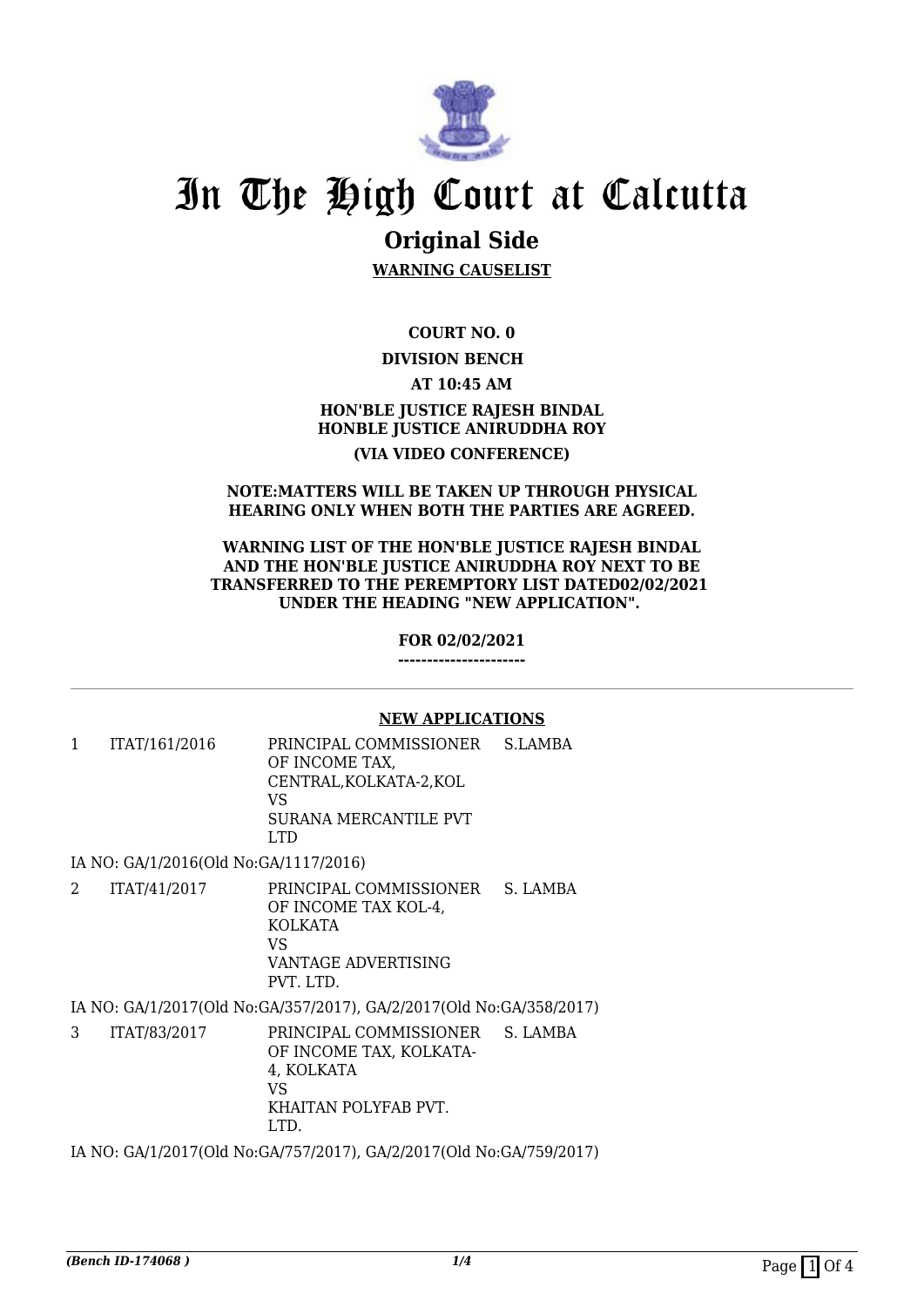

# In The High Court at Calcutta

# **Original Side**

**WARNING CAUSELIST**

**COURT NO. 0**

## **DIVISION BENCH**

**AT 10:45 AM**

# **HON'BLE JUSTICE RAJESH BINDAL HONBLE JUSTICE ANIRUDDHA ROY (VIA VIDEO CONFERENCE)**

#### **NOTE:MATTERS WILL BE TAKEN UP THROUGH PHYSICAL HEARING ONLY WHEN BOTH THE PARTIES ARE AGREED.**

#### **WARNING LIST OF THE HON'BLE JUSTICE RAJESH BINDAL AND THE HON'BLE JUSTICE ANIRUDDHA ROY NEXT TO BE TRANSFERRED TO THE PEREMPTORY LIST DATED02/02/2021 UNDER THE HEADING "NEW APPLICATION".**

#### **FOR 02/02/2021**

**----------------------**

### **NEW APPLICATIONS**

1 ITAT/161/2016 PRINCIPAL COMMISSIONER OF INCOME TAX, CENTRAL,KOLKATA-2,KOL VS SURANA MERCANTILE PVT LTD S.LAMBA

IA NO: GA/1/2016(Old No:GA/1117/2016)

2 ITAT/41/2017 PRINCIPAL COMMISSIONER OF INCOME TAX KOL-4, KOLKATA VS VANTAGE ADVERTISING PVT. LTD. S. LAMBA

IA NO: GA/1/2017(Old No:GA/357/2017), GA/2/2017(Old No:GA/358/2017)

3 ITAT/83/2017 PRINCIPAL COMMISSIONER OF INCOME TAX, KOLKATA-4, KOLKATA VS KHAITAN POLYFAB PVT. LTD. S. LAMBA

IA NO: GA/1/2017(Old No:GA/757/2017), GA/2/2017(Old No:GA/759/2017)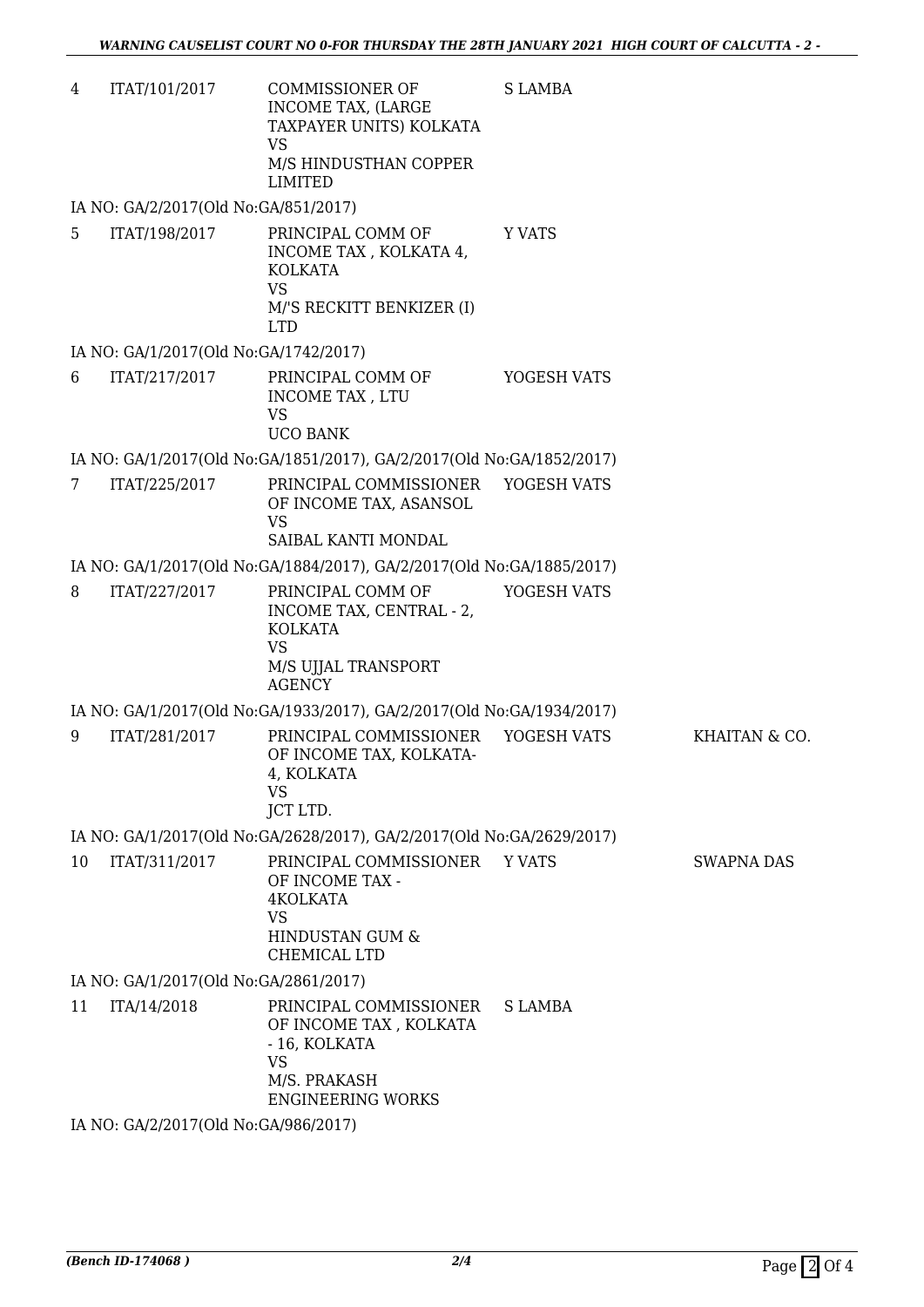| 4 | ITAT/101/2017 | COMMISSIONER OF         | S LAMBA |
|---|---------------|-------------------------|---------|
|   |               | INCOME TAX. (LARGE      |         |
|   |               | TAXPAYER UNITS) KOLKATA |         |
|   |               | VS                      |         |
|   |               | M/S HINDUSTHAN COPPER   |         |
|   |               | LIMITED                 |         |

IA NO: GA/2/2017(Old No:GA/851/2017)

5 ITAT/198/2017 PRINCIPAL COMM OF INCOME TAX , KOLKATA 4, KOLKATA VS M/'S RECKITT BENKIZER (I) LTD Y VATS

#### IA NO: GA/1/2017(Old No:GA/1742/2017)

6 ITAT/217/2017 PRINCIPAL COMM OF INCOME TAX , LTU VS UCO BANK YOGESH VATS

IA NO: GA/1/2017(Old No:GA/1851/2017), GA/2/2017(Old No:GA/1852/2017)

7 ITAT/225/2017 PRINCIPAL COMMISSIONER OF INCOME TAX, ASANSOL VS SAIBAL KANTI MONDAL YOGESH VATS

IA NO: GA/1/2017(Old No:GA/1884/2017), GA/2/2017(Old No:GA/1885/2017)

8 ITAT/227/2017 PRINCIPAL COMM OF INCOME TAX, CENTRAL - 2, KOLKATA VS M/S UJJAL TRANSPORT AGENCY YOGESH VATS

IA NO: GA/1/2017(Old No:GA/1933/2017), GA/2/2017(Old No:GA/1934/2017)

9 ITAT/281/2017 PRINCIPAL COMMISSIONER OF INCOME TAX, KOLKATA-4, KOLKATA VS JCT LTD. YOGESH VATS KHAITAN & CO.

IA NO: GA/1/2017(Old No:GA/2628/2017), GA/2/2017(Old No:GA/2629/2017)

10 ITAT/311/2017 PRINCIPAL COMMISSIONER OF INCOME TAX - 4KOLKATA VS HINDUSTAN GUM & CHEMICAL LTD Y VATS SWAPNA DAS

IA NO: GA/1/2017(Old No:GA/2861/2017)

11 ITA/14/2018 PRINCIPAL COMMISSIONER OF INCOME TAX , KOLKATA - 16, KOLKATA VS M/S. PRAKASH ENGINEERING WORKS S LAMBA

IA NO: GA/2/2017(Old No:GA/986/2017)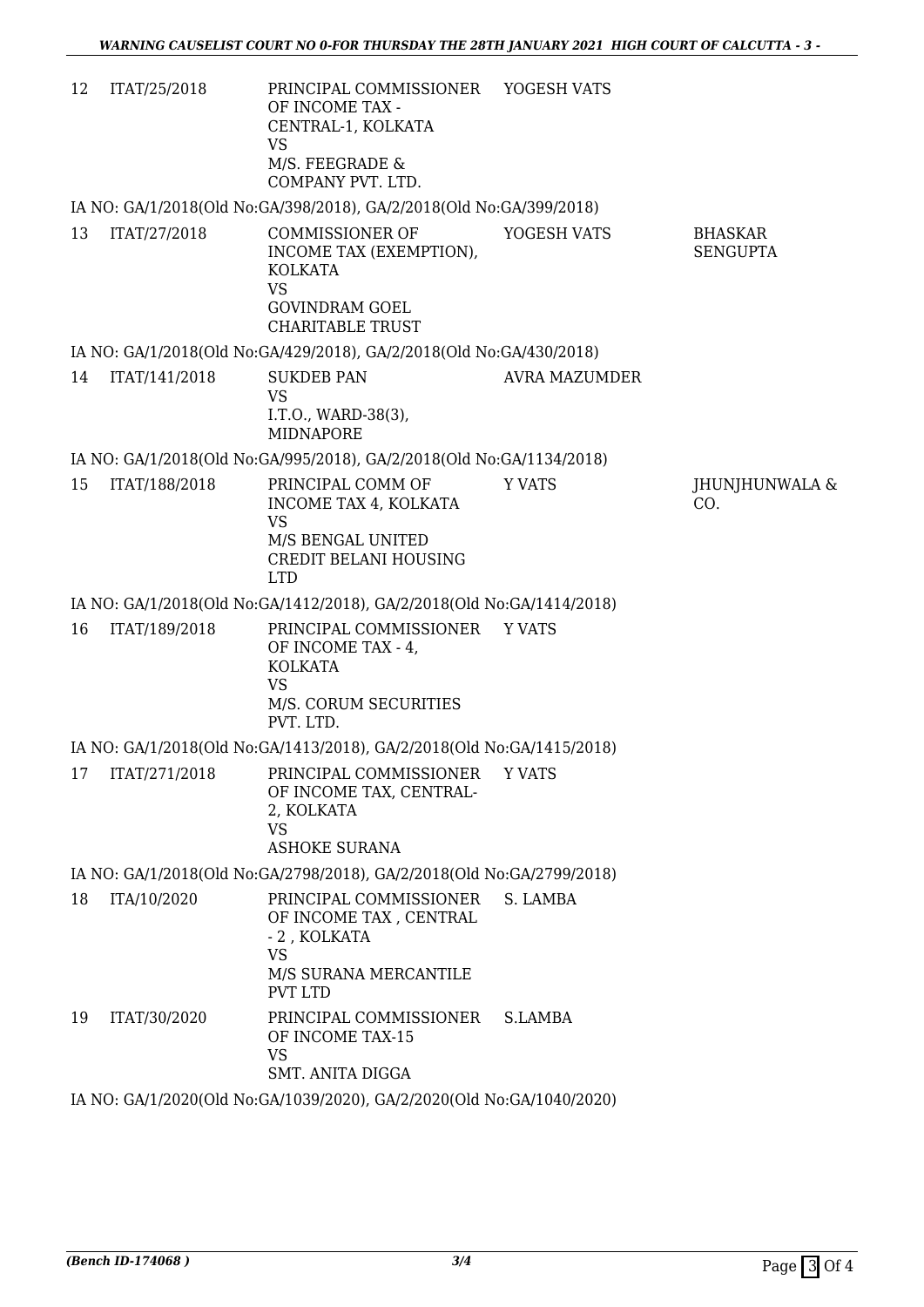| 12 | ITAT/25/2018  | PRINCIPAL COMMISSIONER YOGESH VATS<br>OF INCOME TAX -<br>CENTRAL-1, KOLKATA<br><b>VS</b><br>M/S. FEEGRADE &<br>COMPANY PVT. LTD. |                      |                                   |
|----|---------------|----------------------------------------------------------------------------------------------------------------------------------|----------------------|-----------------------------------|
|    |               | IA NO: GA/1/2018(Old No:GA/398/2018), GA/2/2018(Old No:GA/399/2018)                                                              |                      |                                   |
| 13 | ITAT/27/2018  | COMMISSIONER OF<br>INCOME TAX (EXEMPTION),<br>KOLKATA<br><b>VS</b><br><b>GOVINDRAM GOEL</b><br><b>CHARITABLE TRUST</b>           | YOGESH VATS          | <b>BHASKAR</b><br><b>SENGUPTA</b> |
|    |               | IA NO: GA/1/2018(Old No:GA/429/2018), GA/2/2018(Old No:GA/430/2018)                                                              |                      |                                   |
| 14 | ITAT/141/2018 | <b>SUKDEB PAN</b>                                                                                                                | <b>AVRA MAZUMDER</b> |                                   |
|    |               | <b>VS</b><br>I.T.O., WARD-38(3),<br><b>MIDNAPORE</b>                                                                             |                      |                                   |
|    |               | IA NO: GA/1/2018(Old No:GA/995/2018), GA/2/2018(Old No:GA/1134/2018)                                                             |                      |                                   |
| 15 | ITAT/188/2018 | PRINCIPAL COMM OF<br>INCOME TAX 4, KOLKATA<br><b>VS</b><br>M/S BENGAL UNITED<br>CREDIT BELANI HOUSING<br><b>LTD</b>              | <b>Y VATS</b>        | JHUNJHUNWALA &<br>CO.             |
|    |               | IA NO: GA/1/2018(Old No:GA/1412/2018), GA/2/2018(Old No:GA/1414/2018)                                                            |                      |                                   |
| 16 | ITAT/189/2018 | PRINCIPAL COMMISSIONER Y VATS<br>OF INCOME TAX - 4,<br><b>KOLKATA</b><br><b>VS</b><br>M/S. CORUM SECURITIES<br>PVT. LTD.         |                      |                                   |
|    |               | IA NO: GA/1/2018(Old No:GA/1413/2018), GA/2/2018(Old No:GA/1415/2018)                                                            |                      |                                   |
|    |               | 17 ITAT/271/2018 PRINCIPAL COMMISSIONER YVATS<br>OF INCOME TAX, CENTRAL-<br>2, KOLKATA<br><b>VS</b><br><b>ASHOKE SURANA</b>      |                      |                                   |
|    |               | IA NO: GA/1/2018(Old No:GA/2798/2018), GA/2/2018(Old No:GA/2799/2018)                                                            |                      |                                   |
| 18 | ITA/10/2020   | PRINCIPAL COMMISSIONER<br>OF INCOME TAX, CENTRAL<br>- 2, KOLKATA<br><b>VS</b><br>M/S SURANA MERCANTILE<br>PVT LTD                | S. LAMBA             |                                   |
| 19 | ITAT/30/2020  | PRINCIPAL COMMISSIONER<br>OF INCOME TAX-15<br><b>VS</b><br><b>SMT. ANITA DIGGA</b>                                               | S.LAMBA              |                                   |
|    |               | IA NO: GA/1/2020(Old No:GA/1039/2020), GA/2/2020(Old No:GA/1040/2020)                                                            |                      |                                   |